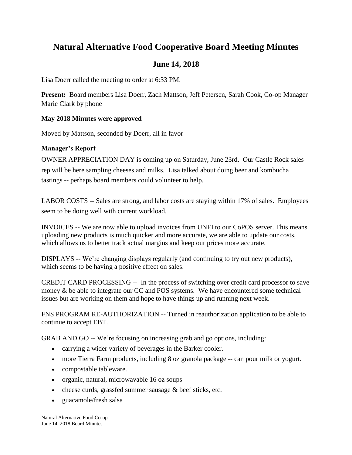# **Natural Alternative Food Cooperative Board Meeting Minutes**

# **June 14, 2018**

Lisa Doerr called the meeting to order at 6:33 PM.

**Present:** Board members Lisa Doerr, Zach Mattson, Jeff Petersen, Sarah Cook, Co-op Manager Marie Clark by phone

## **May 2018 Minutes were approved**

Moved by Mattson, seconded by Doerr, all in favor

# **Manager's Report**

OWNER APPRECIATION DAY is coming up on Saturday, June 23rd. Our Castle Rock sales rep will be here sampling cheeses and milks. Lisa talked about doing beer and kombucha tastings -- perhaps board members could volunteer to help.

LABOR COSTS -- Sales are strong, and labor costs are staying within 17% of sales. Employees seem to be doing well with current workload.

INVOICES -- We are now able to upload invoices from UNFI to our CoPOS server. This means uploading new products is much quicker and more accurate, we are able to update our costs, which allows us to better track actual margins and keep our prices more accurate.

DISPLAYS -- We're changing displays regularly (and continuing to try out new products), which seems to be having a positive effect on sales.

CREDIT CARD PROCESSING -- In the process of switching over credit card processor to save money & be able to integrate our CC and POS systems. We have encountered some technical issues but are working on them and hope to have things up and running next week.

FNS PROGRAM RE-AUTHORIZATION -- Turned in reauthorization application to be able to continue to accept EBT.

GRAB AND GO -- We're focusing on increasing grab and go options, including:

- carrying a wider variety of beverages in the Barker cooler.
- more Tierra Farm products, including 8 oz granola package -- can pour milk or yogurt.
- compostable tableware.
- organic, natural, microwavable 16 oz soups
- $\bullet$  cheese curds, grassfed summer sausage  $\&$  beef sticks, etc.
- guacamole/fresh salsa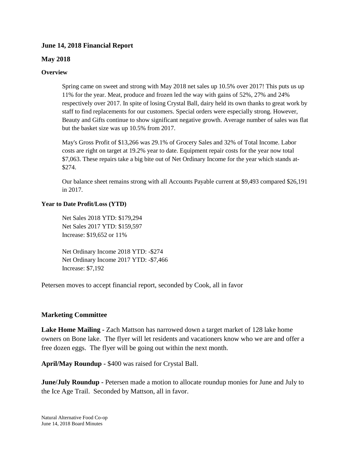#### **June 14, 2018 Financial Report**

#### **May 2018**

#### **Overview**

Spring came on sweet and strong with May 2018 net sales up 10.5% over 2017! This puts us up 11% for the year. Meat, produce and frozen led the way with gains of 52%, 27% and 24% respectively over 2017. In spite of losing Crystal Ball, dairy held its own thanks to great work by staff to find replacements for our customers. Special orders were especially strong. However, Beauty and Gifts continue to show significant negative growth. Average number of sales was flat but the basket size was up 10.5% from 2017.

May's Gross Profit of \$13,266 was 29.1% of Grocery Sales and 32% of Total Income. Labor costs are right on target at 19.2% year to date. Equipment repair costs for the year now total \$7,063. These repairs take a big bite out of Net Ordinary Income for the year which stands at- \$274.

Our balance sheet remains strong with all Accounts Payable current at \$9,493 compared \$26,191 in 2017.

#### **Year to Date Profit/Loss (YTD)**

Net Sales 2018 YTD: \$179,294 Net Sales 2017 YTD: \$159,597 Increase: \$19,652 or 11%

Net Ordinary Income 2018 YTD: -\$274 Net Ordinary Income 2017 YTD: -\$7,466 Increase: \$7,192

Petersen moves to accept financial report, seconded by Cook, all in favor

#### **Marketing Committee**

**Lake Home Mailing -** Zach Mattson has narrowed down a target market of 128 lake home owners on Bone lake. The flyer will let residents and vacationers know who we are and offer a free dozen eggs. The flyer will be going out within the next month.

**April/May Roundup -** \$400 was raised for Crystal Ball.

**June/July Roundup -** Petersen made a motion to allocate roundup monies for June and July to the Ice Age Trail. Seconded by Mattson, all in favor.